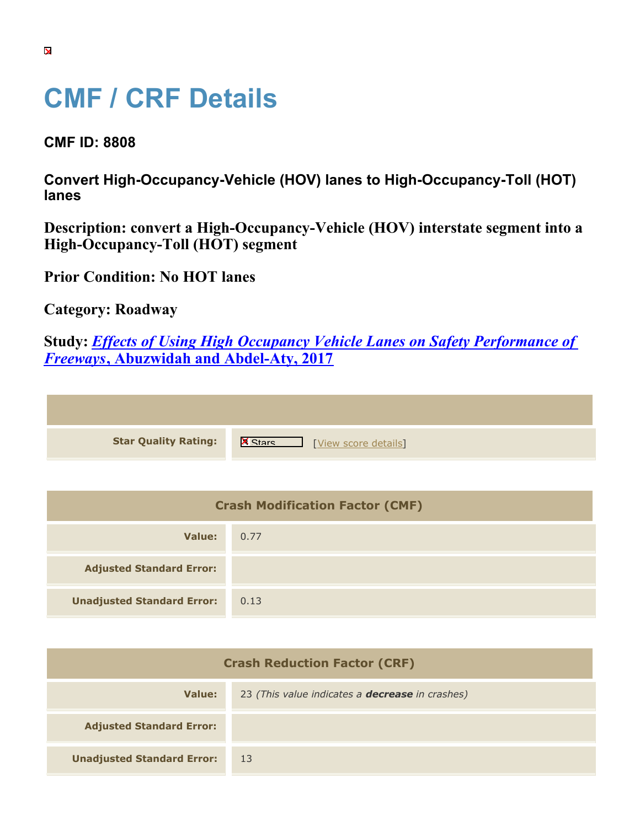## **CMF / CRF Details**

**CMF ID: 8808**

**Convert High-Occupancy-Vehicle (HOV) lanes to High-Occupancy-Toll (HOT) lanes**

**Description: convert a High-Occupancy-Vehicle (HOV) interstate segment into a High-Occupancy-Toll (HOT) segment**

**Prior Condition: No HOT lanes**

**Category: Roadway**

**Study:** *[Effects of Using High Occupancy Vehicle Lanes on Safety Performance of](https://cmfclearinghouse.org/study_detail.cfm?stid=491) [Freeways](https://cmfclearinghouse.org/study_detail.cfm?stid=491)***[, Abuzwidah and Abdel-Aty, 2017](https://cmfclearinghouse.org/study_detail.cfm?stid=491)**

| <b>Star Quality Rating:</b> | $\mathbf{x}$<br>[View score details] |
|-----------------------------|--------------------------------------|
|                             |                                      |

| <b>Crash Modification Factor (CMF)</b> |      |  |
|----------------------------------------|------|--|
| Value:                                 | 0.77 |  |
| <b>Adjusted Standard Error:</b>        |      |  |
| <b>Unadjusted Standard Error:</b>      | 0.13 |  |

| <b>Crash Reduction Factor (CRF)</b> |                                                        |
|-------------------------------------|--------------------------------------------------------|
| Value:                              | 23 (This value indicates a <b>decrease</b> in crashes) |
| <b>Adjusted Standard Error:</b>     |                                                        |
| <b>Unadjusted Standard Error:</b>   | -13                                                    |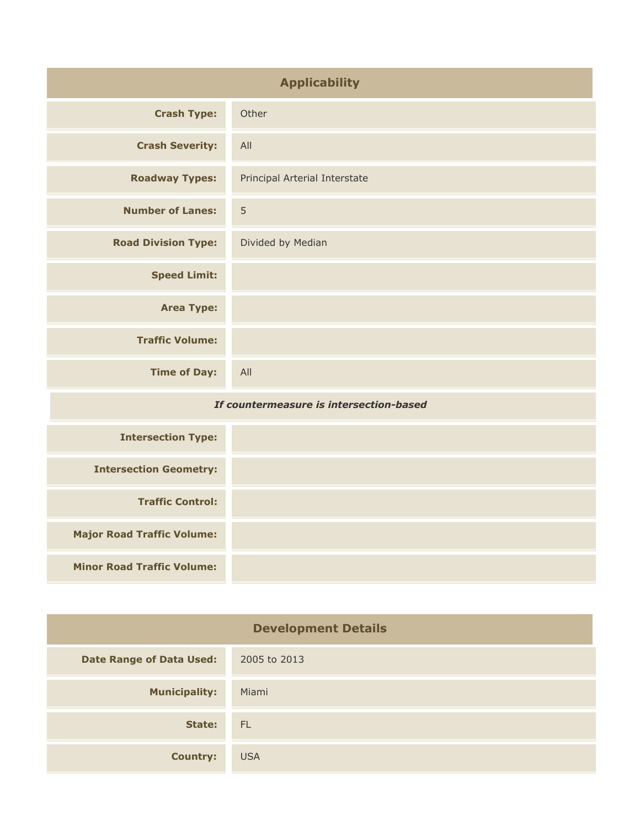| <b>Applicability</b>                    |                               |
|-----------------------------------------|-------------------------------|
| <b>Crash Type:</b>                      | Other                         |
| <b>Crash Severity:</b>                  | All                           |
| <b>Roadway Types:</b>                   | Principal Arterial Interstate |
| <b>Number of Lanes:</b>                 | 5                             |
| <b>Road Division Type:</b>              | Divided by Median             |
| <b>Speed Limit:</b>                     |                               |
| <b>Area Type:</b>                       |                               |
| <b>Traffic Volume:</b>                  |                               |
| <b>Time of Day:</b>                     | All                           |
| If countermeasure is intersection-based |                               |
| <b>Intersection Type:</b>               |                               |
| <b>Intersection Geometry:</b>           |                               |
| <b>Traffic Control:</b>                 |                               |
| <b>Major Road Traffic Volume:</b>       |                               |
| <b>Minor Road Traffic Volume:</b>       |                               |

| <b>Development Details</b>      |              |
|---------------------------------|--------------|
| <b>Date Range of Data Used:</b> | 2005 to 2013 |
| <b>Municipality:</b>            | Miami        |
| State:                          | - FL         |
| <b>Country:</b>                 | <b>USA</b>   |